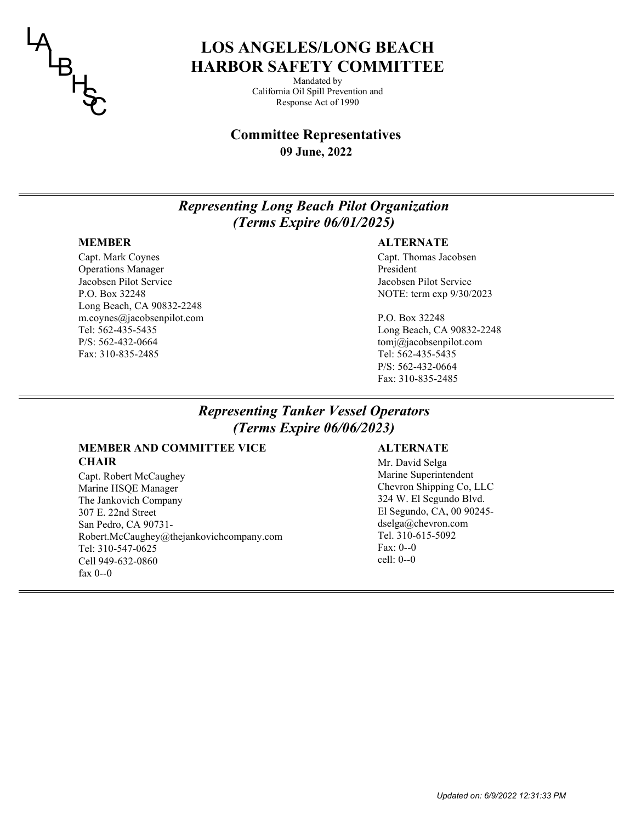

# **LOS ANGELES/LONG BEACH HARBOR SAFETY COMMITTEE**

Mandated by California Oil Spill Prevention and Response Act of 1990

## **09 June, 2022 Committee Representatives**

# *Representing Long Beach Pilot Organization (Terms Expire 06/01/2025)*

## **MEMBER**

Capt. Mark Coynes Operations Manager Jacobsen Pilot Service P.O. Box 32248 Long Beach, CA 90832-2248 m.coynes@jacobsenpilot.com Tel: 562-435-5435 P/S: 562-432-0664 Fax: 310-835-2485

## **ALTERNATE**

Capt. Thomas Jacobsen President Jacobsen Pilot Service NOTE: term exp 9/30/2023

P.O. Box 32248 Long Beach, CA 90832-2248 tomj@jacobsenpilot.com Tel: 562-435-5435 P/S: 562-432-0664 Fax: 310-835-2485

# *Representing Tanker Vessel Operators (Terms Expire 06/06/2023)*

## **MEMBER AND COMMITTEE VICE CHAIR** Mr. David Selga

Capt. Robert McCaughey Marine HSQE Manager The Jankovich Company 307 E. 22nd Street San Pedro, CA 90731- Robert.McCaughey@thejankovichcompany.com Tel: 310-547-0625 Cell 949-632-0860 fax 0--0

## **ALTERNATE**

Marine Superintendent Chevron Shipping Co, LLC 324 W. El Segundo Blvd. El Segundo, CA, 00 90245 dselga@chevron.com Tel. 310-615-5092 Fax: 0--0 cell: 0--0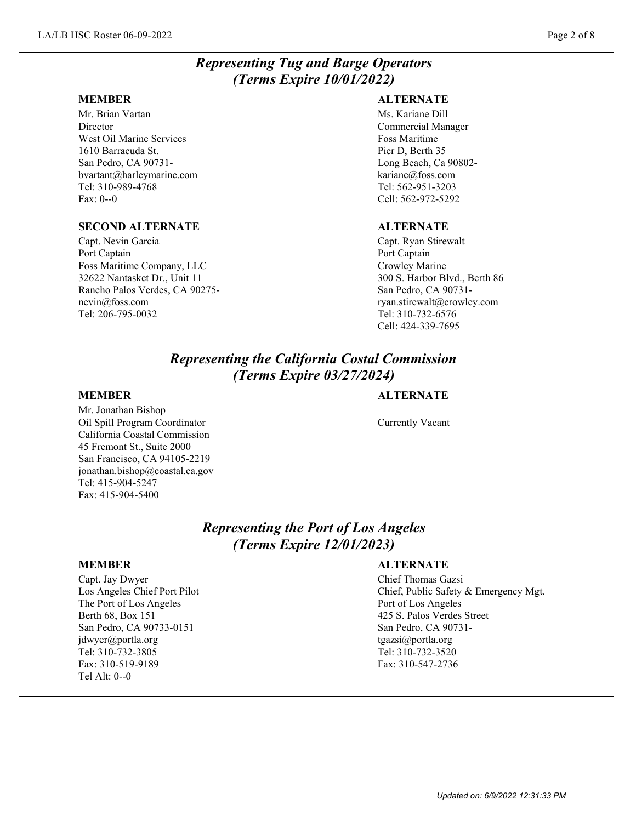# *Representing Tug and Barge Operators (Terms Expire 10/01/2022)*

### **MEMBER**

Mr. Brian Vartan Director West Oil Marine Services 1610 Barracuda St. San Pedro, CA 90731 bvartant@harleymarine.com Tel: 310-989-4768 Fax: 0--0

## **SECOND ALTERNATE**

Capt. Nevin Garcia Port Captain Foss Maritime Company, LLC 32622 Nantasket Dr., Unit 11 Rancho Palos Verdes, CA 90275 nevin@foss.com Tel: 206-795-0032

## **ALTERNATE**

Ms. Kariane Dill Commercial Manager Foss Maritime Pier D, Berth 35 Long Beach, Ca 90802 kariane@foss.com Tel: 562-951-3203 Cell: 562-972-5292

## **ALTERNATE**

Capt. Ryan Stirewalt Port Captain Crowley Marine 300 S. Harbor Blvd., Berth 86 San Pedro, CA 90731 ryan.stirewalt@crowley.com Tel: 310-732-6576 Cell: 424-339-7695

# *Representing the California Costal Commission (Terms Expire 03/27/2024)*

## **MEMBER**

Mr. Jonathan Bishop Oil Spill Program Coordinator California Coastal Commission 45 Fremont St., Suite 2000 San Francisco, CA 94105-2219 jonathan.bishop@coastal.ca.gov Tel: 415-904-5247 Fax: 415-904-5400

## **ALTERNATE**

Currently Vacant

# *Representing the Port of Los Angeles (Terms Expire 12/01/2023)*

## **MEMBER**

Capt. Jay Dwyer Los Angeles Chief Port Pilot The Port of Los Angeles Berth 68, Box 151 San Pedro, CA 90733-0151 jdwyer@portla.org Tel: 310-732-3805 Fax: 310-519-9189 Tel Alt: 0--0

## **ALTERNATE**

Chief Thomas Gazsi Chief, Public Safety & Emergency Mgt. Port of Los Angeles 425 S. Palos Verdes Street San Pedro, CA 90731 tgazsi@portla.org Tel: 310-732-3520 Fax: 310-547-2736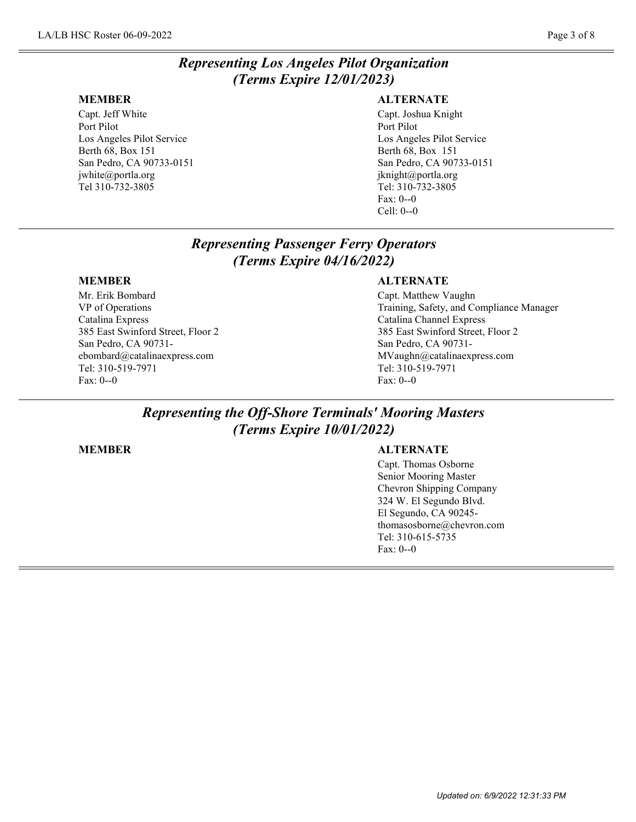# *Representing Los Angeles Pilot Organization (Terms Expire 12/01/2023)*

### **MEMBER**

Capt. Jeff White Port Pilot Los Angeles Pilot Service Berth 68, Box 151 San Pedro, CA 90733-0151 jwhite@portla.org Tel 310-732-3805

## **ALTERNATE**

Capt. Joshua Knight Port Pilot Los Angeles Pilot Service Berth 68, Box 151 San Pedro, CA 90733-0151 jknight@portla.org Tel: 310-732-3805 Fax: 0--0 Cell: 0--0

# *Representing Passenger Ferry Operators (Terms Expire 04/16/2022)*

## **MEMBER**

Mr. Erik Bombard VP of Operations Catalina Express 385 East Swinford Street, Floor 2 San Pedro, CA 90731 ebombard@catalinaexpress.com Tel: 310-519-7971 Fax: 0--0

## **ALTERNATE**

Capt. Matthew Vaughn Training, Safety, and Compliance Manager Catalina Channel Express 385 East Swinford Street, Floor 2 San Pedro, CA 90731- MVaughn@catalinaexpress.com Tel: 310-519-7971 Fax: 0--0

# *Representing the Off-Shore Terminals' Mooring Masters (Terms Expire 10/01/2022)*

### **MEMBER**

## **ALTERNATE**

Capt. Thomas Osborne Senior Mooring Master Chevron Shipping Company 324 W. El Segundo Blvd. El Segundo, CA 90245 thomasosborne@chevron.com Tel: 310-615-5735 Fax: 0--0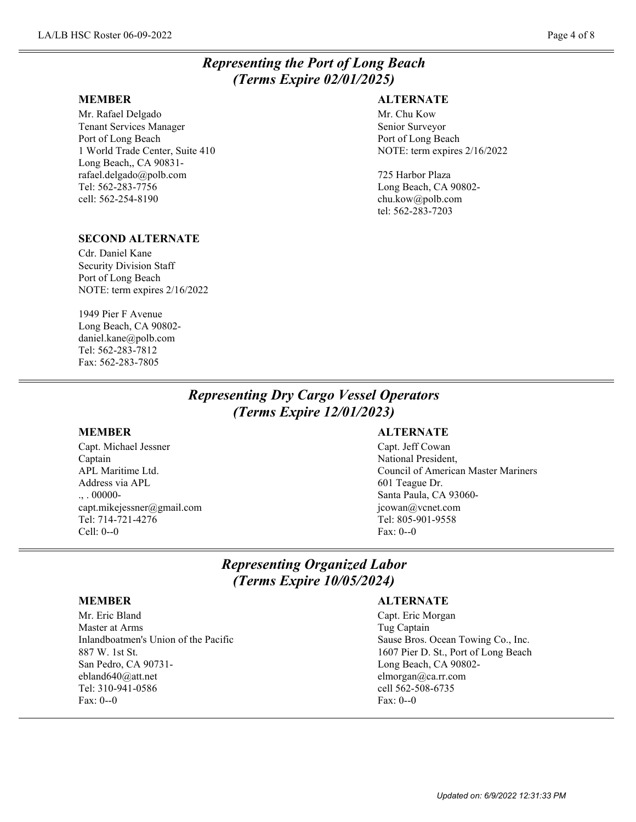# *Representing the Port of Long Beach (Terms Expire 02/01/2025)*

### **MEMBER**

Mr. Rafael Delgado Tenant Services Manager Port of Long Beach 1 World Trade Center, Suite 410 Long Beach,, CA 90831 rafael.delgado@polb.com Tel: 562-283-7756 cell: 562-254-8190

## **ALTERNATE**

Mr. Chu Kow Senior Surveyor Port of Long Beach NOTE: term expires 2/16/2022

725 Harbor Plaza Long Beach, CA 90802 chu.kow@polb.com tel: 562-283-7203

## **SECOND ALTERNATE**

Cdr. Daniel Kane Security Division Staff Port of Long Beach NOTE: term expires 2/16/2022

1949 Pier F Avenue Long Beach, CA 90802 daniel.kane@polb.com Tel: 562-283-7812 Fax: 562-283-7805

## *Representing Dry Cargo Vessel Operators (Terms Expire 12/01/2023)*

### **MEMBER**

Capt. Michael Jessner Captain APL Maritime Ltd. Address via APL  $\ldots$  00000capt.mikejessner@gmail.com Tel: 714-721-4276 Cell: 0--0

### **ALTERNATE**

Capt. Jeff Cowan National President, Council of American Master Mariners 601 Teague Dr. Santa Paula, CA 93060 jcowan@vcnet.com Tel: 805-901-9558 Fax: 0--0

## *Representing Organized Labor (Terms Expire 10/05/2024)*

### **MEMBER**

Mr. Eric Bland Master at Arms Inlandboatmen's Union of the Pacific 887 W. 1st St. San Pedro, CA 90731 ebland640@att.net Tel: 310-941-0586 Fax: 0--0

### **ALTERNATE**

Capt. Eric Morgan Tug Captain Sause Bros. Ocean Towing Co., Inc. 1607 Pier D. St., Port of Long Beach Long Beach, CA 90802 elmorgan@ca.rr.com cell 562-508-6735 Fax: 0--0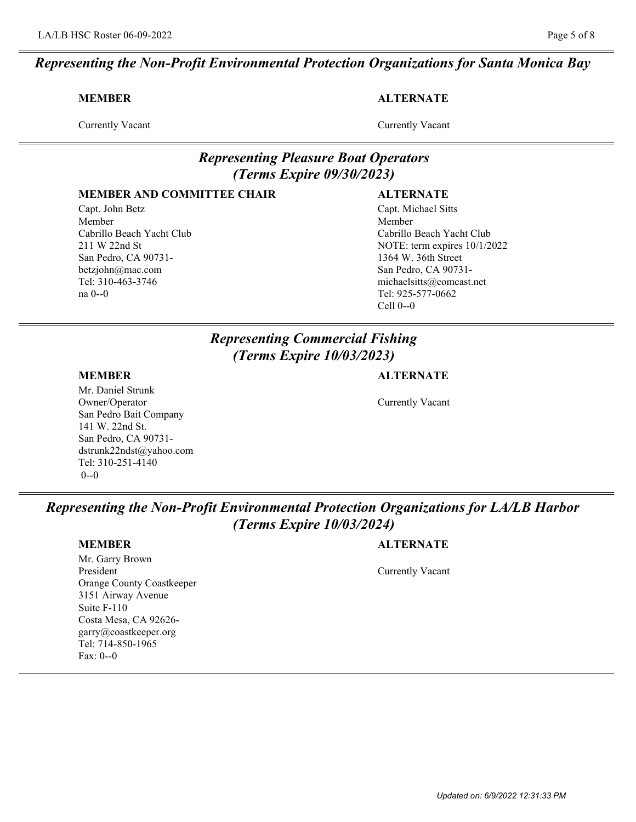### **MEMBER**

Currently Vacant

**ALTERNATE**

## **MEMBER AND COMMITTEE CHAIR**

Capt. John Betz Member Cabrillo Beach Yacht Club 211 W 22nd St San Pedro, CA 90731 betzjohn@mac.com Tel: 310-463-3746 na 0--0

## Currently Vacant

## *Representing Pleasure Boat Operators (Terms Expire 09/30/2023)*

## **ALTERNATE**

Capt. Michael Sitts Member Cabrillo Beach Yacht Club NOTE: term expires 10/1/2022 1364 W. 36th Street San Pedro, CA 90731 michaelsitts@comcast.net Tel: 925-577-0662 Cell 0--0

# *Representing Commercial Fishing (Terms Expire 10/03/2023)*

## **MEMBER**

Mr. Daniel Strunk Owner/Operator San Pedro Bait Company 141 W. 22nd St. San Pedro, CA 90731 dstrunk22ndst@yahoo.com Tel: 310-251-4140 0--0

## **ALTERNATE**

Currently Vacant

*Representing the Non-Profit Environmental Protection Organizations for LA/LB Harbor (Terms Expire 10/03/2024)*

## **MEMBER**

Mr. Garry Brown President Orange County Coastkeeper 3151 Airway Avenue Suite F-110 Costa Mesa, CA 92626 garry@coastkeeper.org Tel: 714-850-1965 Fax: 0--0

## **ALTERNATE**

Currently Vacant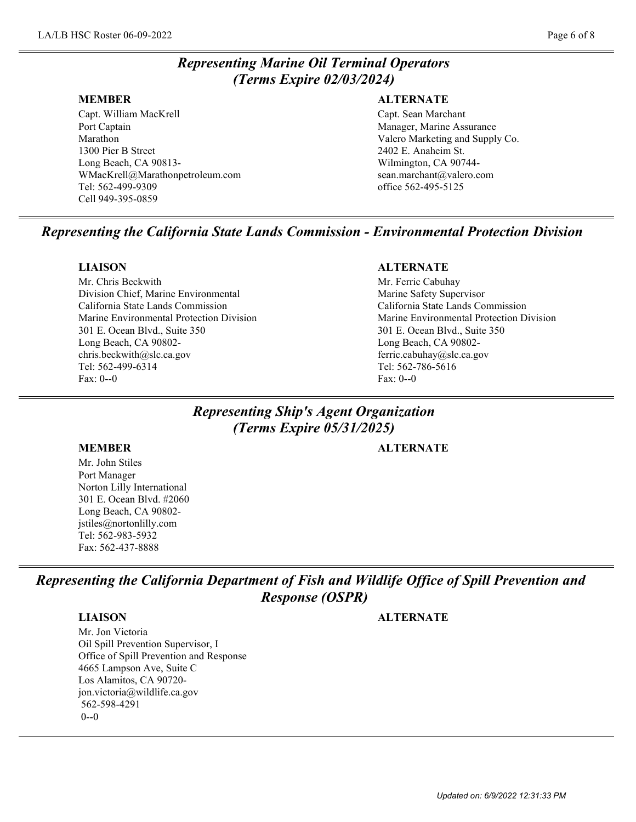# *Representing Marine Oil Terminal Operators (Terms Expire 02/03/2024)*

### **MEMBER**

Capt. William MacKrell Port Captain Marathon 1300 Pier B Street Long Beach, CA 90813- WMacKrell@Marathonpetroleum.com Tel: 562-499-9309 Cell 949-395-0859

## **ALTERNATE**

Capt. Sean Marchant Manager, Marine Assurance Valero Marketing and Supply Co. 2402 E. Anaheim St. Wilmington, CA 90744 sean.marchant@valero.com office 562-495-5125

# *Representing the California State Lands Commission - Environmental Protection Division*

## **LIAISON**

Mr. Chris Beckwith Division Chief, Marine Environmental California State Lands Commission Marine Environmental Protection Division 301 E. Ocean Blvd., Suite 350 Long Beach, CA 90802 chris.beckwith@slc.ca.gov Tel: 562-499-6314 Fax: 0--0

## **ALTERNATE**

Mr. Ferric Cabuhay Marine Safety Supervisor California State Lands Commission Marine Environmental Protection Division 301 E. Ocean Blvd., Suite 350 Long Beach, CA 90802 ferric.cabuhay@slc.ca.gov Tel: 562-786-5616 Fax: 0--0

# *Representing Ship's Agent Organization (Terms Expire 05/31/2025)*

Mr. John Stiles Port Manager Norton Lilly International 301 E. Ocean Blvd. #2060 Long Beach, CA 90802 jstiles@nortonlilly.com Tel: 562-983-5932 Fax: 562-437-8888

**MEMBER ALTERNATE**

*Representing the California Department of Fish and Wildlife Office of Spill Prevention and Response (OSPR)*

**LIAISON ALTERNATE**

Mr. Jon Victoria Oil Spill Prevention Supervisor, I Office of Spill Prevention and Response 4665 Lampson Ave, Suite C Los Alamitos, CA 90720 jon.victoria@wildlife.ca.gov 562-598-4291  $0 - 0$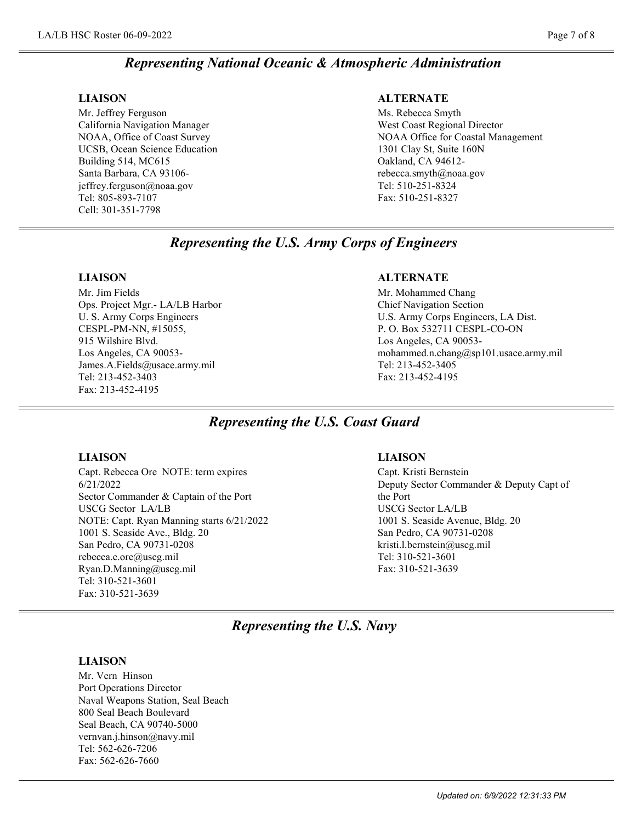## *Representing National Oceanic & Atmospheric Administration*

### **LIAISON**

Mr. Jeffrey Ferguson California Navigation Manager NOAA, Office of Coast Survey UCSB, Ocean Science Education Building 514, MC615 Santa Barbara, CA 93106 jeffrey.ferguson@noaa.gov Tel: 805-893-7107 Cell: 301-351-7798

### **ALTERNATE**

Ms. Rebecca Smyth West Coast Regional Director NOAA Office for Coastal Management 1301 Clay St, Suite 160N Oakland, CA 94612 rebecca.smyth@noaa.gov Tel: 510-251-8324 Fax: 510-251-8327

## *Representing the U.S. Army Corps of Engineers*

### **LIAISON**

Mr. Jim Fields Ops. Project Mgr.- LA/LB Harbor U. S. Army Corps Engineers CESPL-PM-NN, #15055, 915 Wilshire Blvd. Los Angeles, CA 90053- James.A.Fields@usace.army.mil Tel: 213-452-3403 Fax: 213-452-4195

## **ALTERNATE**

Mr. Mohammed Chang Chief Navigation Section U.S. Army Corps Engineers, LA Dist. P. O. Box 532711 CESPL-CO-ON Los Angeles, CA 90053 mohammed.n.chang@sp101.usace.army.mil Tel: 213-452-3405 Fax: 213-452-4195

## *Representing the U.S. Coast Guard*

### **LIAISON**

Capt. Rebecca Ore NOTE: term expires 6/21/2022 Sector Commander & Captain of the Port USCG Sector LA/LB NOTE: Capt. Ryan Manning starts 6/21/2022 1001 S. Seaside Ave., Bldg. 20 San Pedro, CA 90731-0208 rebecca.e.ore@uscg.mil Ryan.D.Manning@uscg.mil Tel: 310-521-3601 Fax: 310-521-3639

### **LIAISON**

Capt. Kristi Bernstein Deputy Sector Commander & Deputy Capt of the Port USCG Sector LA/LB 1001 S. Seaside Avenue, Bldg. 20 San Pedro, CA 90731-0208 kristi.l.bernstein@uscg.mil Tel: 310-521-3601 Fax: 310-521-3639

## *Representing the U.S. Navy*

### **LIAISON**

Mr. Vern Hinson Port Operations Director Naval Weapons Station, Seal Beach 800 Seal Beach Boulevard Seal Beach, CA 90740-5000 vernvan.j.hinson@navy.mil Tel: 562-626-7206 Fax: 562-626-7660